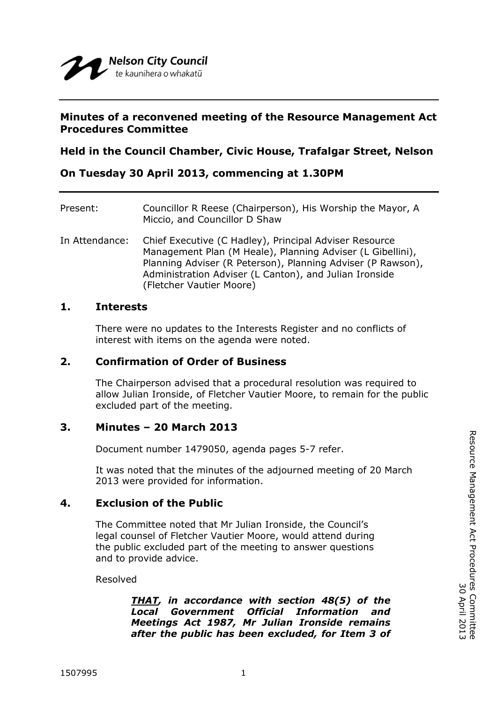#### **Minutes of a reconvened meeting of the Resource Management Act Procedures Committee**

**Held in the Council Chamber, Civic House, Trafalgar Street, Nelson**

**On Tuesday 30 April 2013, commencing at 1.30PM**

| Present:       | Councillor R Reese (Chairperson), His Worship the Mayor, A<br>Miccio, and Councillor D Shaw                                                                                                                                                                               |
|----------------|---------------------------------------------------------------------------------------------------------------------------------------------------------------------------------------------------------------------------------------------------------------------------|
| In Attendance: | Chief Executive (C Hadley), Principal Adviser Resource<br>Management Plan (M Heale), Planning Adviser (L Gibellini),<br>Planning Adviser (R Peterson), Planning Adviser (P Rawson),<br>Administration Adviser (L Canton), and Julian Ironside<br>(Fletcher Vautier Moore) |

#### **1. Interests**

There were no updates to the Interests Register and no conflicts of interest with items on the agenda were noted.

## **2. Confirmation of Order of Business**

The Chairperson advised that a procedural resolution was required to allow Julian Ironside, of Fletcher Vautier Moore, to remain for the public excluded part of the meeting.

## **3. Minutes – 20 March 2013**

Document number 1479050, agenda pages 5-7 refer.

It was noted that the minutes of the adjourned meeting of 20 March 2013 were provided for information.

## **4. Exclusion of the Public**

The Committee noted that Mr Julian Ironside, the Council's legal counsel of Fletcher Vautier Moore, would attend during the public excluded part of the meeting to answer questions and to provide advice.

Resolved

*THAT, in accordance with section 48(5) of the Local Government Official Information and Meetings Act 1987, Mr Julian Ironside remains after the public has been excluded, for Item 3 of*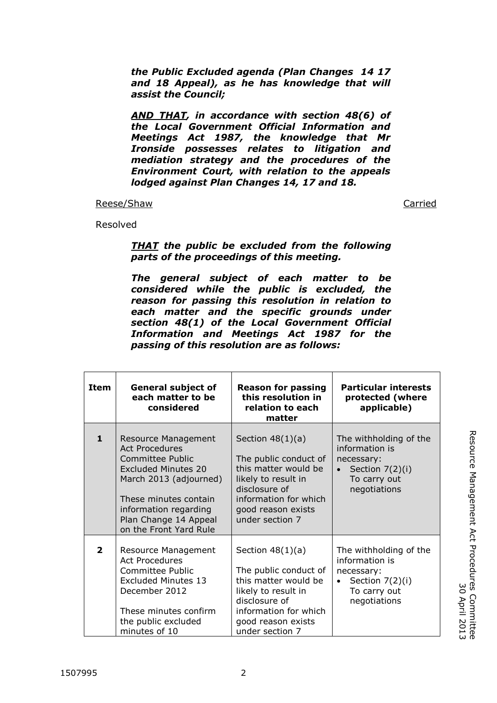*the Public Excluded agenda (Plan Changes 14 17 and 18 Appeal), as he has knowledge that will assist the Council;*

*AND THAT, in accordance with section 48(6) of the Local Government Official Information and Meetings Act 1987, the knowledge that Mr Ironside possesses relates to litigation and mediation strategy and the procedures of the Environment Court, with relation to the appeals lodged against Plan Changes 14, 17 and 18.*

#### Reese/Shaw Carried Carried Carried Carried Carried Carried Carried Carried Carried Carried Carried Carried Carried Carried Carried Carried Carried Carried Carried Carried Carried Carried Carried Carried Carried Carried Car

Resolved

*THAT the public be excluded from the following parts of the proceedings of this meeting.*

*The general subject of each matter to be considered while the public is excluded, the reason for passing this resolution in relation to each matter and the specific grounds under section 48(1) of the Local Government Official Information and Meetings Act 1987 for the passing of this resolution are as follows:*

| passing of this resolution are as follows: |                                                                                                                                                                                                                                      |                                                                                                                                                                               |                                                                                                             |  |  |
|--------------------------------------------|--------------------------------------------------------------------------------------------------------------------------------------------------------------------------------------------------------------------------------------|-------------------------------------------------------------------------------------------------------------------------------------------------------------------------------|-------------------------------------------------------------------------------------------------------------|--|--|
| <b>Item</b>                                | <b>General subject of</b><br>each matter to be<br>considered                                                                                                                                                                         | <b>Reason for passing</b><br>this resolution in<br>relation to each<br>matter                                                                                                 | <b>Particular interests</b><br>protected (where<br>applicable)                                              |  |  |
| $\mathbf{1}$                               | <b>Resource Management</b><br><b>Act Procedures</b><br>Committee Public<br><b>Excluded Minutes 20</b><br>March 2013 (adjourned)<br>These minutes contain<br>information regarding<br>Plan Change 14 Appeal<br>on the Front Yard Rule | Section $48(1)(a)$<br>The public conduct of<br>this matter would be<br>likely to result in<br>disclosure of<br>information for which<br>good reason exists<br>under section 7 | The withholding of the<br>information is<br>necessary:<br>Section 7(2)(i)<br>To carry out<br>negotiations   |  |  |
| $\overline{2}$                             | Resource Management<br><b>Act Procedures</b><br>Committee Public<br><b>Excluded Minutes 13</b><br>December 2012<br>These minutes confirm<br>the public excluded<br>minutes of 10                                                     | Section $48(1)(a)$<br>The public conduct of<br>this matter would be<br>likely to result in<br>disclosure of<br>information for which<br>good reason exists<br>under section 7 | The withholding of the<br>information is<br>necessary:<br>Section $7(2)(i)$<br>To carry out<br>negotiations |  |  |